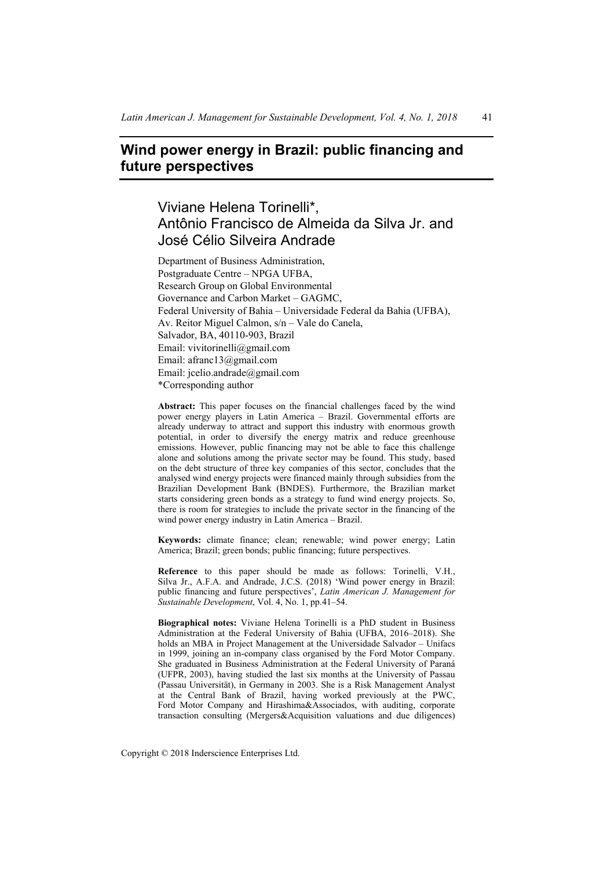# **Wind power energy in Brazil: public financing and future perspectives**

# Viviane Helena Torinelli\*, Antônio Francisco de Almeida da Silva Jr. and José Célio Silveira Andrade

Department of Business Administration, Postgraduate Centre – NPGA UFBA, Research Group on Global Environmental Governance and Carbon Market – GAGMC, Federal University of Bahia – Universidade Federal da Bahia (UFBA), Av. Reitor Miguel Calmon, s/n – Vale do Canela, Salvador, BA, 40110-903, Brazil Email: vivitorinelli@gmail.com Email: afranc13@gmail.com Email: jcelio.andrade@gmail.com \*Corresponding author

**Abstract:** This paper focuses on the financial challenges faced by the wind power energy players in Latin America – Brazil. Governmental efforts are already underway to attract and support this industry with enormous growth potential, in order to diversify the energy matrix and reduce greenhouse emissions. However, public financing may not be able to face this challenge alone and solutions among the private sector may be found. This study, based on the debt structure of three key companies of this sector, concludes that the analysed wind energy projects were financed mainly through subsidies from the Brazilian Development Bank (BNDES). Furthermore, the Brazilian market starts considering green bonds as a strategy to fund wind energy projects. So, there is room for strategies to include the private sector in the financing of the wind power energy industry in Latin America – Brazil.

**Keywords:** climate finance; clean; renewable; wind power energy; Latin America; Brazil; green bonds; public financing; future perspectives.

**Reference** to this paper should be made as follows: Torinelli, V.H., Silva Jr., A.F.A. and Andrade, J.C.S. (2018) 'Wind power energy in Brazil: public financing and future perspectives', *Latin American J. Management for Sustainable Development*, Vol. 4, No. 1, pp.41–54.

**Biographical notes:** Viviane Helena Torinelli is a PhD student in Business Administration at the Federal University of Bahia (UFBA, 2016–2018). She holds an MBA in Project Management at the Universidade Salvador – Unifacs in 1999, joining an in-company class organised by the Ford Motor Company. She graduated in Business Administration at the Federal University of Paraná (UFPR, 2003), having studied the last six months at the University of Passau (Passau Universität), in Germany in 2003. She is a Risk Management Analyst at the Central Bank of Brazil, having worked previously at the PWC, Ford Motor Company and Hirashima&Associados, with auditing, corporate transaction consulting (Mergers&Acquisition valuations and due diligences)

Copyright © 2018 Inderscience Enterprises Ltd.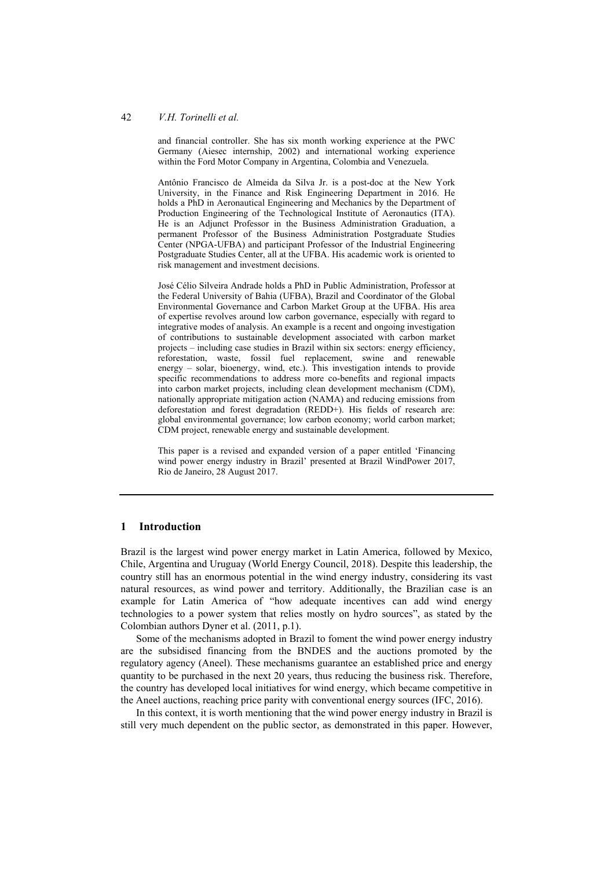and financial controller. She has six month working experience at the PWC Germany (Aiesec internship, 2002) and international working experience within the Ford Motor Company in Argentina, Colombia and Venezuela.

Antônio Francisco de Almeida da Silva Jr. is a post-doc at the New York University, in the Finance and Risk Engineering Department in 2016. He holds a PhD in Aeronautical Engineering and Mechanics by the Department of Production Engineering of the Technological Institute of Aeronautics (ITA). He is an Adjunct Professor in the Business Administration Graduation, a permanent Professor of the Business Administration Postgraduate Studies Center (NPGA-UFBA) and participant Professor of the Industrial Engineering Postgraduate Studies Center, all at the UFBA. His academic work is oriented to risk management and investment decisions.

José Célio Silveira Andrade holds a PhD in Public Administration, Professor at the Federal University of Bahia (UFBA), Brazil and Coordinator of the Global Environmental Governance and Carbon Market Group at the UFBA. His area of expertise revolves around low carbon governance, especially with regard to integrative modes of analysis. An example is a recent and ongoing investigation of contributions to sustainable development associated with carbon market projects – including case studies in Brazil within six sectors: energy efficiency, reforestation, waste, fossil fuel replacement, swine and renewable energy – solar, bioenergy, wind, etc.). This investigation intends to provide specific recommendations to address more co-benefits and regional impacts into carbon market projects, including clean development mechanism (CDM), nationally appropriate mitigation action (NAMA) and reducing emissions from deforestation and forest degradation (REDD+). His fields of research are: global environmental governance; low carbon economy; world carbon market; CDM project, renewable energy and sustainable development.

This paper is a revised and expanded version of a paper entitled 'Financing wind power energy industry in Brazil' presented at Brazil WindPower 2017, Rio de Janeiro, 28 August 2017.

## **1 Introduction**

Brazil is the largest wind power energy market in Latin America, followed by Mexico, Chile, Argentina and Uruguay (World Energy Council, 2018). Despite this leadership, the country still has an enormous potential in the wind energy industry, considering its vast natural resources, as wind power and territory. Additionally, the Brazilian case is an example for Latin America of "how adequate incentives can add wind energy technologies to a power system that relies mostly on hydro sources", as stated by the Colombian authors Dyner et al. (2011, p.1).

Some of the mechanisms adopted in Brazil to foment the wind power energy industry are the subsidised financing from the BNDES and the auctions promoted by the regulatory agency (Aneel). These mechanisms guarantee an established price and energy quantity to be purchased in the next 20 years, thus reducing the business risk. Therefore, the country has developed local initiatives for wind energy, which became competitive in the Aneel auctions, reaching price parity with conventional energy sources (IFC, 2016).

In this context, it is worth mentioning that the wind power energy industry in Brazil is still very much dependent on the public sector, as demonstrated in this paper. However,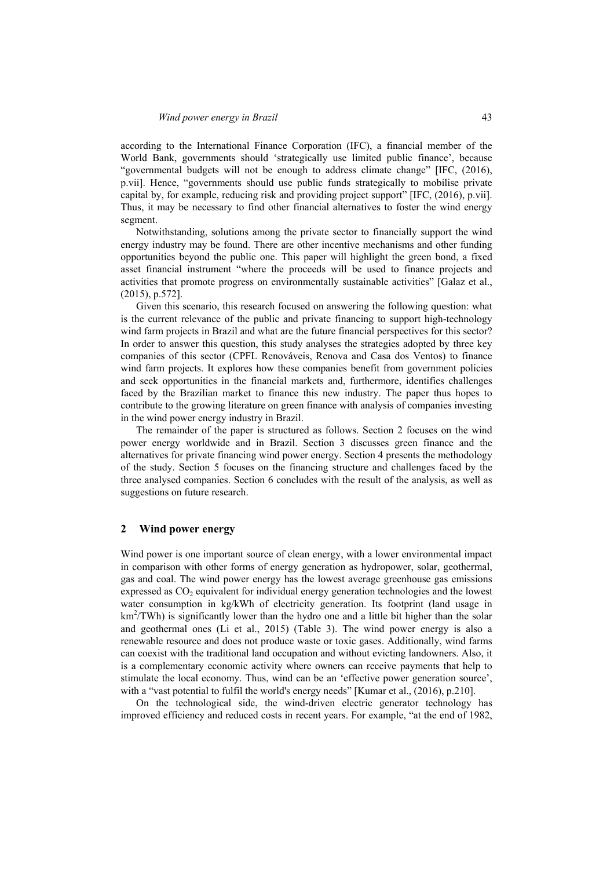according to the International Finance Corporation (IFC), a financial member of the World Bank, governments should 'strategically use limited public finance', because "governmental budgets will not be enough to address climate change" [IFC, (2016), p.vii]. Hence, "governments should use public funds strategically to mobilise private capital by, for example, reducing risk and providing project support" [IFC, (2016), p.vii]. Thus, it may be necessary to find other financial alternatives to foster the wind energy segment.

Notwithstanding, solutions among the private sector to financially support the wind energy industry may be found. There are other incentive mechanisms and other funding opportunities beyond the public one. This paper will highlight the green bond, a fixed asset financial instrument "where the proceeds will be used to finance projects and activities that promote progress on environmentally sustainable activities" [Galaz et al., (2015), p.572].

Given this scenario, this research focused on answering the following question: what is the current relevance of the public and private financing to support high-technology wind farm projects in Brazil and what are the future financial perspectives for this sector? In order to answer this question, this study analyses the strategies adopted by three key companies of this sector (CPFL Renováveis, Renova and Casa dos Ventos) to finance wind farm projects. It explores how these companies benefit from government policies and seek opportunities in the financial markets and, furthermore, identifies challenges faced by the Brazilian market to finance this new industry. The paper thus hopes to contribute to the growing literature on green finance with analysis of companies investing in the wind power energy industry in Brazil.

The remainder of the paper is structured as follows. Section 2 focuses on the wind power energy worldwide and in Brazil. Section 3 discusses green finance and the alternatives for private financing wind power energy. Section 4 presents the methodology of the study. Section 5 focuses on the financing structure and challenges faced by the three analysed companies. Section 6 concludes with the result of the analysis, as well as suggestions on future research.

# **2 Wind power energy**

Wind power is one important source of clean energy, with a lower environmental impact in comparison with other forms of energy generation as hydropower, solar, geothermal, gas and coal. The wind power energy has the lowest average greenhouse gas emissions expressed as  $CO<sub>2</sub>$  equivalent for individual energy generation technologies and the lowest water consumption in kg/kWh of electricity generation. Its footprint (land usage in km<sup>2</sup>/TWh) is significantly lower than the hydro one and a little bit higher than the solar and geothermal ones (Li et al., 2015) (Table 3). The wind power energy is also a renewable resource and does not produce waste or toxic gases. Additionally, wind farms can coexist with the traditional land occupation and without evicting landowners. Also, it is a complementary economic activity where owners can receive payments that help to stimulate the local economy. Thus, wind can be an 'effective power generation source', with a "vast potential to fulfil the world's energy needs" [Kumar et al., (2016), p.210].

On the technological side, the wind-driven electric generator technology has improved efficiency and reduced costs in recent years. For example, "at the end of 1982,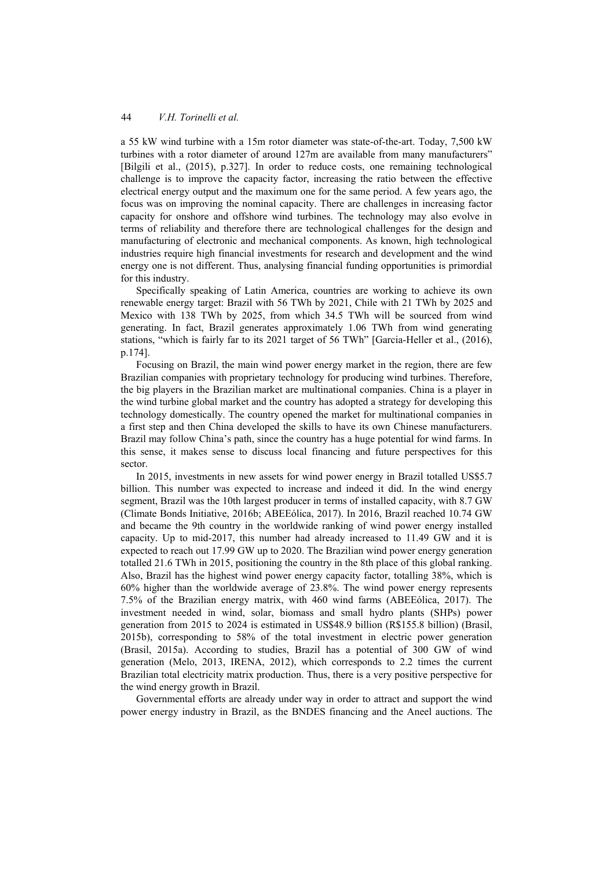a 55 kW wind turbine with a 15m rotor diameter was state-of-the-art. Today, 7,500 kW turbines with a rotor diameter of around 127m are available from many manufacturers" [Bilgili et al., (2015), p.327]. In order to reduce costs, one remaining technological challenge is to improve the capacity factor, increasing the ratio between the effective electrical energy output and the maximum one for the same period. A few years ago, the focus was on improving the nominal capacity. There are challenges in increasing factor capacity for onshore and offshore wind turbines. The technology may also evolve in terms of reliability and therefore there are technological challenges for the design and manufacturing of electronic and mechanical components. As known, high technological industries require high financial investments for research and development and the wind energy one is not different. Thus, analysing financial funding opportunities is primordial for this industry.

Specifically speaking of Latin America, countries are working to achieve its own renewable energy target: Brazil with 56 TWh by 2021, Chile with 21 TWh by 2025 and Mexico with 138 TWh by 2025, from which 34.5 TWh will be sourced from wind generating. In fact, Brazil generates approximately 1.06 TWh from wind generating stations, "which is fairly far to its 2021 target of 56 TWh" [Garcia-Heller et al., (2016), p.174].

Focusing on Brazil, the main wind power energy market in the region, there are few Brazilian companies with proprietary technology for producing wind turbines. Therefore, the big players in the Brazilian market are multinational companies. China is a player in the wind turbine global market and the country has adopted a strategy for developing this technology domestically. The country opened the market for multinational companies in a first step and then China developed the skills to have its own Chinese manufacturers. Brazil may follow China's path, since the country has a huge potential for wind farms. In this sense, it makes sense to discuss local financing and future perspectives for this sector.

In 2015, investments in new assets for wind power energy in Brazil totalled US\$5.7 billion. This number was expected to increase and indeed it did. In the wind energy segment, Brazil was the 10th largest producer in terms of installed capacity, with 8.7 GW (Climate Bonds Initiative, 2016b; ABEEólica, 2017). In 2016, Brazil reached 10.74 GW and became the 9th country in the worldwide ranking of wind power energy installed capacity. Up to mid-2017, this number had already increased to 11.49 GW and it is expected to reach out 17.99 GW up to 2020. The Brazilian wind power energy generation totalled 21.6 TWh in 2015, positioning the country in the 8th place of this global ranking. Also, Brazil has the highest wind power energy capacity factor, totalling 38%, which is 60% higher than the worldwide average of 23.8%. The wind power energy represents 7.5% of the Brazilian energy matrix, with 460 wind farms (ABEEólica, 2017). The investment needed in wind, solar, biomass and small hydro plants (SHPs) power generation from 2015 to 2024 is estimated in US\$48.9 billion (R\$155.8 billion) (Brasil, 2015b), corresponding to 58% of the total investment in electric power generation (Brasil, 2015a). According to studies, Brazil has a potential of 300 GW of wind generation (Melo, 2013, IRENA, 2012), which corresponds to 2.2 times the current Brazilian total electricity matrix production. Thus, there is a very positive perspective for the wind energy growth in Brazil.

Governmental efforts are already under way in order to attract and support the wind power energy industry in Brazil, as the BNDES financing and the Aneel auctions. The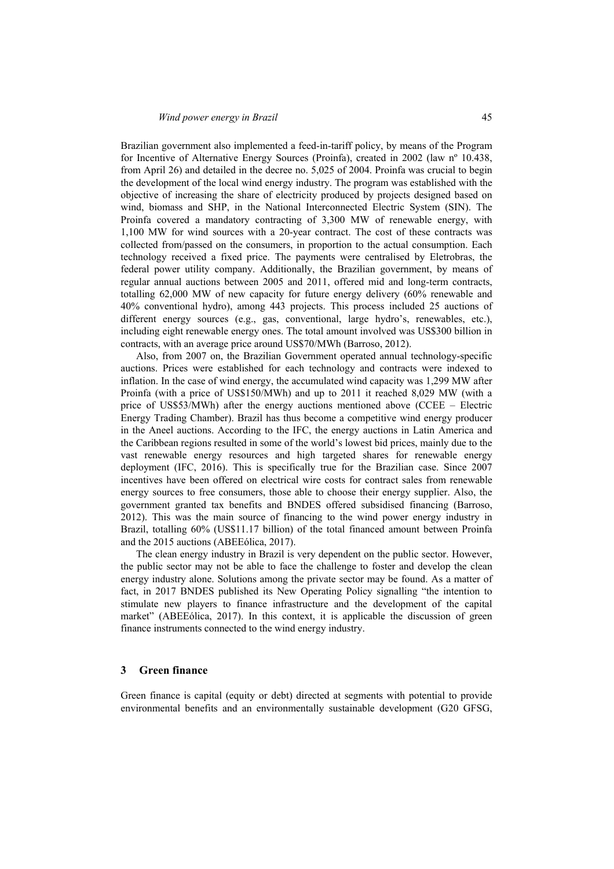Brazilian government also implemented a feed-in-tariff policy, by means of the Program for Incentive of Alternative Energy Sources (Proinfa), created in 2002 (law nº 10.438, from April 26) and detailed in the decree no. 5,025 of 2004. Proinfa was crucial to begin the development of the local wind energy industry. The program was established with the objective of increasing the share of electricity produced by projects designed based on wind, biomass and SHP, in the National Interconnected Electric System (SIN). The Proinfa covered a mandatory contracting of 3,300 MW of renewable energy, with 1,100 MW for wind sources with a 20-year contract. The cost of these contracts was collected from/passed on the consumers, in proportion to the actual consumption. Each technology received a fixed price. The payments were centralised by Eletrobras, the federal power utility company. Additionally, the Brazilian government, by means of regular annual auctions between 2005 and 2011, offered mid and long-term contracts, totalling 62,000 MW of new capacity for future energy delivery (60% renewable and 40% conventional hydro), among 443 projects. This process included 25 auctions of different energy sources (e.g., gas, conventional, large hydro's, renewables, etc.), including eight renewable energy ones. The total amount involved was US\$300 billion in contracts, with an average price around US\$70/MWh (Barroso, 2012).

Also, from 2007 on, the Brazilian Government operated annual technology-specific auctions. Prices were established for each technology and contracts were indexed to inflation. In the case of wind energy, the accumulated wind capacity was 1,299 MW after Proinfa (with a price of US\$150/MWh) and up to 2011 it reached 8,029 MW (with a price of US\$53/MWh) after the energy auctions mentioned above (CCEE – Electric Energy Trading Chamber). Brazil has thus become a competitive wind energy producer in the Aneel auctions. According to the IFC, the energy auctions in Latin America and the Caribbean regions resulted in some of the world's lowest bid prices, mainly due to the vast renewable energy resources and high targeted shares for renewable energy deployment (IFC, 2016). This is specifically true for the Brazilian case. Since 2007 incentives have been offered on electrical wire costs for contract sales from renewable energy sources to free consumers, those able to choose their energy supplier. Also, the government granted tax benefits and BNDES offered subsidised financing (Barroso, 2012). This was the main source of financing to the wind power energy industry in Brazil, totalling 60% (US\$11.17 billion) of the total financed amount between Proinfa and the 2015 auctions (ABEEólica, 2017).

The clean energy industry in Brazil is very dependent on the public sector. However, the public sector may not be able to face the challenge to foster and develop the clean energy industry alone. Solutions among the private sector may be found. As a matter of fact, in 2017 BNDES published its New Operating Policy signalling "the intention to stimulate new players to finance infrastructure and the development of the capital market" (ABEEólica, 2017). In this context, it is applicable the discussion of green finance instruments connected to the wind energy industry.

# **3 Green finance**

Green finance is capital (equity or debt) directed at segments with potential to provide environmental benefits and an environmentally sustainable development (G20 GFSG,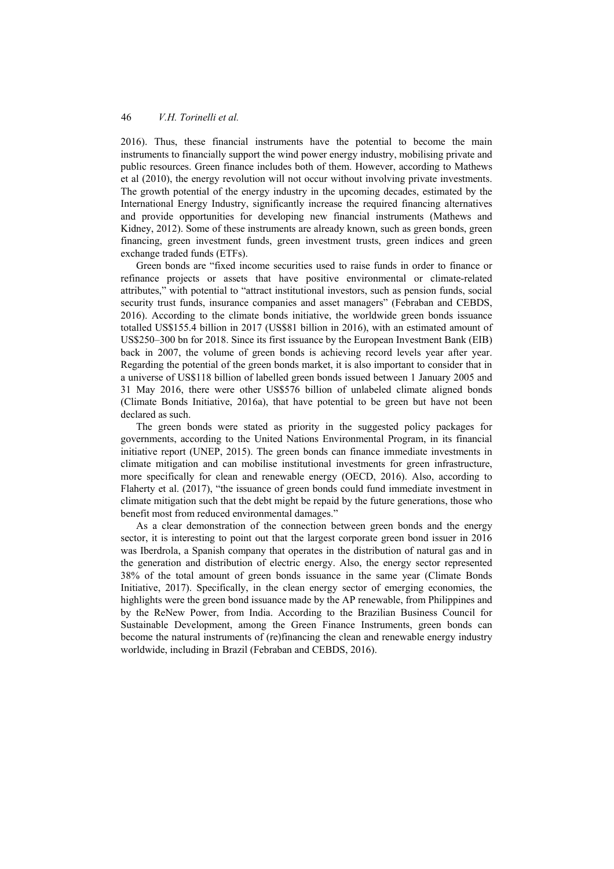2016). Thus, these financial instruments have the potential to become the main instruments to financially support the wind power energy industry, mobilising private and public resources. Green finance includes both of them. However, according to Mathews et al (2010), the energy revolution will not occur without involving private investments. The growth potential of the energy industry in the upcoming decades, estimated by the International Energy Industry, significantly increase the required financing alternatives and provide opportunities for developing new financial instruments (Mathews and Kidney, 2012). Some of these instruments are already known, such as green bonds, green financing, green investment funds, green investment trusts, green indices and green exchange traded funds (ETFs).

Green bonds are "fixed income securities used to raise funds in order to finance or refinance projects or assets that have positive environmental or climate-related attributes," with potential to "attract institutional investors, such as pension funds, social security trust funds, insurance companies and asset managers" (Febraban and CEBDS, 2016). According to the climate bonds initiative, the worldwide green bonds issuance totalled US\$155.4 billion in 2017 (US\$81 billion in 2016), with an estimated amount of US\$250–300 bn for 2018. Since its first issuance by the European Investment Bank (EIB) back in 2007, the volume of green bonds is achieving record levels year after year. Regarding the potential of the green bonds market, it is also important to consider that in a universe of US\$118 billion of labelled green bonds issued between 1 January 2005 and 31 May 2016, there were other US\$576 billion of unlabeled climate aligned bonds (Climate Bonds Initiative, 2016a), that have potential to be green but have not been declared as such.

The green bonds were stated as priority in the suggested policy packages for governments, according to the United Nations Environmental Program, in its financial initiative report (UNEP, 2015). The green bonds can finance immediate investments in climate mitigation and can mobilise institutional investments for green infrastructure, more specifically for clean and renewable energy (OECD, 2016). Also, according to Flaherty et al. (2017), "the issuance of green bonds could fund immediate investment in climate mitigation such that the debt might be repaid by the future generations, those who benefit most from reduced environmental damages."

As a clear demonstration of the connection between green bonds and the energy sector, it is interesting to point out that the largest corporate green bond issuer in 2016 was Iberdrola, a Spanish company that operates in the distribution of natural gas and in the generation and distribution of electric energy. Also, the energy sector represented 38% of the total amount of green bonds issuance in the same year (Climate Bonds Initiative, 2017). Specifically, in the clean energy sector of emerging economies, the highlights were the green bond issuance made by the AP renewable, from Philippines and by the ReNew Power, from India. According to the Brazilian Business Council for Sustainable Development, among the Green Finance Instruments, green bonds can become the natural instruments of (re)financing the clean and renewable energy industry worldwide, including in Brazil (Febraban and CEBDS, 2016).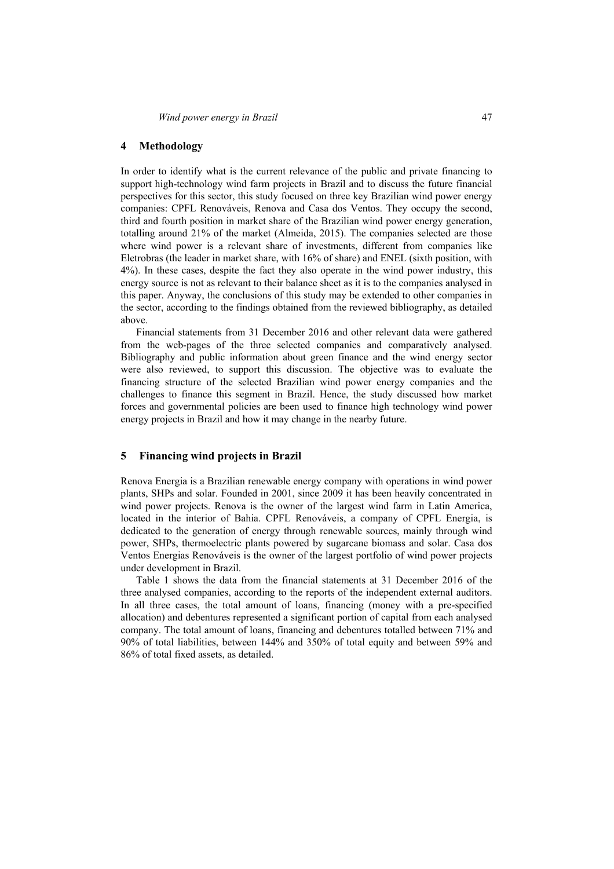## **4 Methodology**

In order to identify what is the current relevance of the public and private financing to support high-technology wind farm projects in Brazil and to discuss the future financial perspectives for this sector, this study focused on three key Brazilian wind power energy companies: CPFL Renováveis, Renova and Casa dos Ventos. They occupy the second, third and fourth position in market share of the Brazilian wind power energy generation, totalling around 21% of the market (Almeida, 2015). The companies selected are those where wind power is a relevant share of investments, different from companies like Eletrobras (the leader in market share, with 16% of share) and ENEL (sixth position, with 4%). In these cases, despite the fact they also operate in the wind power industry, this energy source is not as relevant to their balance sheet as it is to the companies analysed in this paper. Anyway, the conclusions of this study may be extended to other companies in the sector, according to the findings obtained from the reviewed bibliography, as detailed above.

Financial statements from 31 December 2016 and other relevant data were gathered from the web-pages of the three selected companies and comparatively analysed. Bibliography and public information about green finance and the wind energy sector were also reviewed, to support this discussion. The objective was to evaluate the financing structure of the selected Brazilian wind power energy companies and the challenges to finance this segment in Brazil. Hence, the study discussed how market forces and governmental policies are been used to finance high technology wind power energy projects in Brazil and how it may change in the nearby future.

## **5 Financing wind projects in Brazil**

Renova Energia is a Brazilian renewable energy company with operations in wind power plants, SHPs and solar. Founded in 2001, since 2009 it has been heavily concentrated in wind power projects. Renova is the owner of the largest wind farm in Latin America, located in the interior of Bahia. CPFL Renováveis, a company of CPFL Energia, is dedicated to the generation of energy through renewable sources, mainly through wind power, SHPs, thermoelectric plants powered by sugarcane biomass and solar. Casa dos Ventos Energias Renováveis is the owner of the largest portfolio of wind power projects under development in Brazil.

Table 1 shows the data from the financial statements at 31 December 2016 of the three analysed companies, according to the reports of the independent external auditors. In all three cases, the total amount of loans, financing (money with a pre-specified allocation) and debentures represented a significant portion of capital from each analysed company. The total amount of loans, financing and debentures totalled between 71% and 90% of total liabilities, between 144% and 350% of total equity and between 59% and 86% of total fixed assets, as detailed.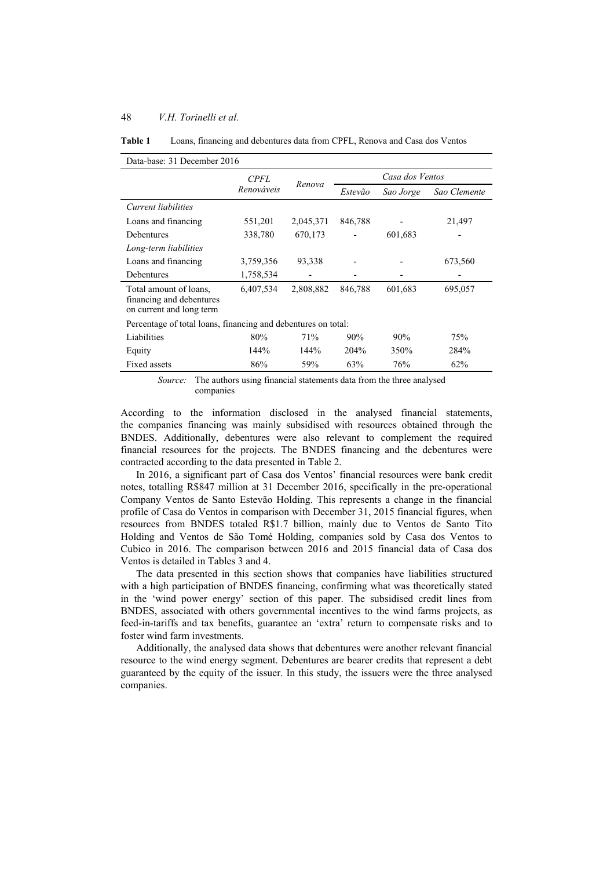| Data-base: 31 December 2016                                                    |             |           |         |                 |              |
|--------------------------------------------------------------------------------|-------------|-----------|---------|-----------------|--------------|
|                                                                                | <b>CPFL</b> | Renova    |         | Casa dos Ventos |              |
|                                                                                | Renováveis  |           | Estevão | Sao Jorge       | Sao Clemente |
| Current liabilities                                                            |             |           |         |                 |              |
| Loans and financing                                                            | 551,201     | 2,045,371 | 846,788 |                 | 21,497       |
| <b>Debentures</b>                                                              | 338,780     | 670,173   |         | 601,683         |              |
| Long-term liabilities                                                          |             |           |         |                 |              |
| Loans and financing                                                            | 3,759,356   | 93,338    |         |                 | 673,560      |
| Debentures                                                                     | 1,758,534   |           |         |                 |              |
| Total amount of loans.<br>financing and debentures<br>on current and long term | 6,407,534   | 2,808,882 | 846,788 | 601,683         | 695,057      |
| Percentage of total loans, financing and debentures on total:                  |             |           |         |                 |              |
| Liabilities                                                                    | 80%         | 71%       | 90%     | 90%             | 75%          |
| Equity                                                                         | 144%        | 144%      | 204%    | 350%            | 284%         |
| Fixed assets                                                                   | 86%         | 59%       | 63%     | 76%             | 62%          |

#### **Table 1** Loans, financing and debentures data from CPFL, Renova and Casa dos Ventos

*Source:* The authors using financial statements data from the three analysed companies

According to the information disclosed in the analysed financial statements, the companies financing was mainly subsidised with resources obtained through the BNDES. Additionally, debentures were also relevant to complement the required financial resources for the projects. The BNDES financing and the debentures were contracted according to the data presented in Table 2.

In 2016, a significant part of Casa dos Ventos' financial resources were bank credit notes, totalling R\$847 million at 31 December 2016, specifically in the pre-operational Company Ventos de Santo Estevão Holding. This represents a change in the financial profile of Casa do Ventos in comparison with December 31, 2015 financial figures, when resources from BNDES totaled R\$1.7 billion, mainly due to Ventos de Santo Tito Holding and Ventos de São Tomé Holding, companies sold by Casa dos Ventos to Cubico in 2016. The comparison between 2016 and 2015 financial data of Casa dos Ventos is detailed in Tables 3 and 4.

The data presented in this section shows that companies have liabilities structured with a high participation of BNDES financing, confirming what was theoretically stated in the 'wind power energy' section of this paper. The subsidised credit lines from BNDES, associated with others governmental incentives to the wind farms projects, as feed-in-tariffs and tax benefits, guarantee an 'extra' return to compensate risks and to foster wind farm investments.

Additionally, the analysed data shows that debentures were another relevant financial resource to the wind energy segment. Debentures are bearer credits that represent a debt guaranteed by the equity of the issuer. In this study, the issuers were the three analysed companies.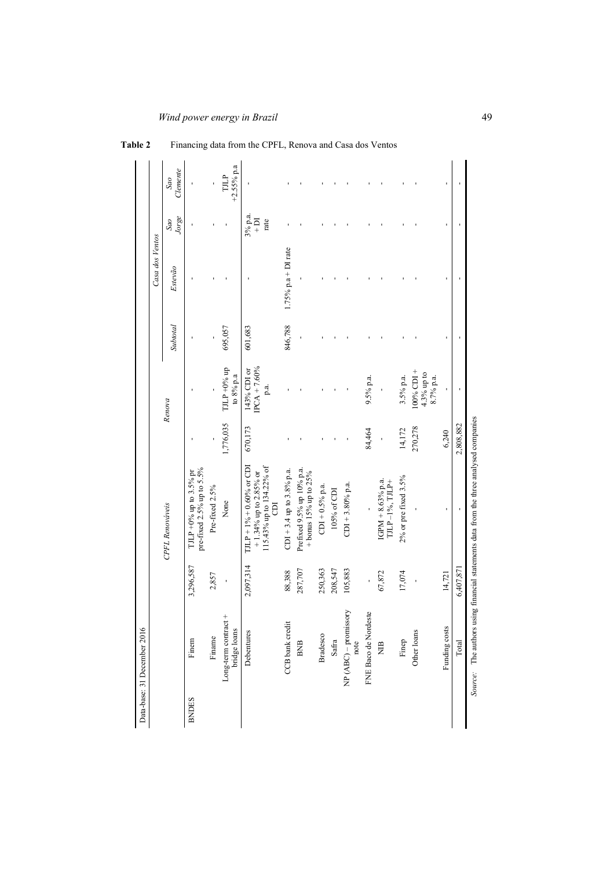| $3\%$ p.a.<br>Jorge<br>$\overline{a}$<br>Sao<br>rate<br>$1.75%$ p.a + DI rate<br>Estevão<br>846,788<br>Subtotal<br>695,057<br>601,683<br>ı<br>IPCA + 7.60%<br>TJLP $+0\%$ up<br>143% CDI or<br>$100\%$ CDI +<br>$4.3\%$ up to<br>to $8\%$ p.a<br>$8.7\%$ p.a.<br>3.5% p.a.<br>$9.5\%$ p.a.<br>p.a.<br>Renova<br>1,776,035<br>670,173<br>270,278<br>84,464<br>14,172<br>6,240<br>TJLP + $1\%$ + 0.60% or CDI<br>115.43% up to 134.22% of<br>pre-fixed 2.5% up to 5.5%<br>Prefixed 9.5% up 10% p.a.<br>CDI + 3.4 up to 3.8% p.a.<br>TJLP +0% up to $3.5%$ pr<br>+1.34% up to 2.85% or<br>$+$ bonus 15% up to 25%<br>2% or pre fixed 3.5%<br>$ICPM + 8.63% p.a.$<br>TJLP-1%, TJLP+<br>$CDI + 3.80%$ p.a.<br>$CDI + 0.5%$ p.a.<br>Pre-fixed 2.5%<br>105% of CDI<br>None<br><b>CPFL</b> Renováveis<br>EDI<br>2,097,314<br>3,296,587<br>6,407,871<br>287,707<br>250,363<br>208,547<br>105,883<br>88,388<br>67,872<br>17,074<br>14,721<br>2,857<br>ï<br>ı<br>NP (ABC) - promissory<br>FNE Baco de Nordeste<br>$^{+}$<br>Long-term contract<br>CCB bank credit<br>Funding costs<br>bridge loans<br>Other loans<br>Debentures<br>Bradesco<br>Finame<br>Finem<br>Safra<br>Finep<br><b>BNB</b><br>note<br>Total<br>₩B<br><b>BNDES</b> | Data-base: 31 December 2016 |  |           |  | Casa dos Ventos |                      |
|----------------------------------------------------------------------------------------------------------------------------------------------------------------------------------------------------------------------------------------------------------------------------------------------------------------------------------------------------------------------------------------------------------------------------------------------------------------------------------------------------------------------------------------------------------------------------------------------------------------------------------------------------------------------------------------------------------------------------------------------------------------------------------------------------------------------------------------------------------------------------------------------------------------------------------------------------------------------------------------------------------------------------------------------------------------------------------------------------------------------------------------------------------------------------------------------------------------------------|-----------------------------|--|-----------|--|-----------------|----------------------|
|                                                                                                                                                                                                                                                                                                                                                                                                                                                                                                                                                                                                                                                                                                                                                                                                                                                                                                                                                                                                                                                                                                                                                                                                                            |                             |  |           |  |                 | Clemente<br>Sao      |
|                                                                                                                                                                                                                                                                                                                                                                                                                                                                                                                                                                                                                                                                                                                                                                                                                                                                                                                                                                                                                                                                                                                                                                                                                            |                             |  |           |  |                 |                      |
|                                                                                                                                                                                                                                                                                                                                                                                                                                                                                                                                                                                                                                                                                                                                                                                                                                                                                                                                                                                                                                                                                                                                                                                                                            |                             |  |           |  |                 |                      |
|                                                                                                                                                                                                                                                                                                                                                                                                                                                                                                                                                                                                                                                                                                                                                                                                                                                                                                                                                                                                                                                                                                                                                                                                                            |                             |  |           |  |                 | $+2.55%$ p.a<br>TJLP |
|                                                                                                                                                                                                                                                                                                                                                                                                                                                                                                                                                                                                                                                                                                                                                                                                                                                                                                                                                                                                                                                                                                                                                                                                                            |                             |  |           |  |                 |                      |
|                                                                                                                                                                                                                                                                                                                                                                                                                                                                                                                                                                                                                                                                                                                                                                                                                                                                                                                                                                                                                                                                                                                                                                                                                            |                             |  |           |  |                 |                      |
|                                                                                                                                                                                                                                                                                                                                                                                                                                                                                                                                                                                                                                                                                                                                                                                                                                                                                                                                                                                                                                                                                                                                                                                                                            |                             |  |           |  |                 |                      |
|                                                                                                                                                                                                                                                                                                                                                                                                                                                                                                                                                                                                                                                                                                                                                                                                                                                                                                                                                                                                                                                                                                                                                                                                                            |                             |  |           |  |                 |                      |
|                                                                                                                                                                                                                                                                                                                                                                                                                                                                                                                                                                                                                                                                                                                                                                                                                                                                                                                                                                                                                                                                                                                                                                                                                            |                             |  |           |  |                 |                      |
|                                                                                                                                                                                                                                                                                                                                                                                                                                                                                                                                                                                                                                                                                                                                                                                                                                                                                                                                                                                                                                                                                                                                                                                                                            |                             |  |           |  |                 |                      |
|                                                                                                                                                                                                                                                                                                                                                                                                                                                                                                                                                                                                                                                                                                                                                                                                                                                                                                                                                                                                                                                                                                                                                                                                                            |                             |  |           |  |                 |                      |
|                                                                                                                                                                                                                                                                                                                                                                                                                                                                                                                                                                                                                                                                                                                                                                                                                                                                                                                                                                                                                                                                                                                                                                                                                            |                             |  |           |  |                 |                      |
|                                                                                                                                                                                                                                                                                                                                                                                                                                                                                                                                                                                                                                                                                                                                                                                                                                                                                                                                                                                                                                                                                                                                                                                                                            |                             |  |           |  |                 |                      |
|                                                                                                                                                                                                                                                                                                                                                                                                                                                                                                                                                                                                                                                                                                                                                                                                                                                                                                                                                                                                                                                                                                                                                                                                                            |                             |  |           |  |                 |                      |
|                                                                                                                                                                                                                                                                                                                                                                                                                                                                                                                                                                                                                                                                                                                                                                                                                                                                                                                                                                                                                                                                                                                                                                                                                            |                             |  |           |  |                 |                      |
|                                                                                                                                                                                                                                                                                                                                                                                                                                                                                                                                                                                                                                                                                                                                                                                                                                                                                                                                                                                                                                                                                                                                                                                                                            |                             |  | 2,808,882 |  |                 |                      |

**Table 2** Financing data from the CPFL, Renova and Casa dos Ventos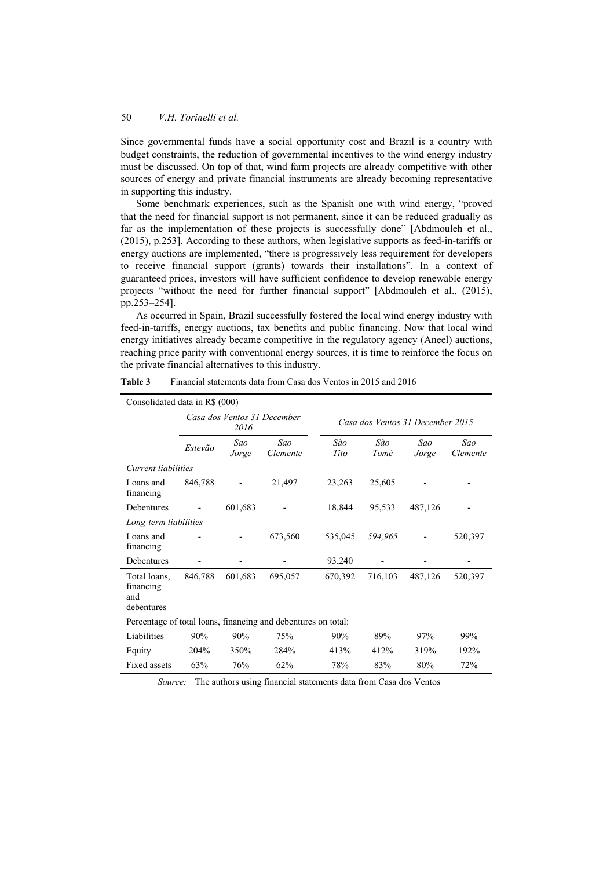Since governmental funds have a social opportunity cost and Brazil is a country with budget constraints, the reduction of governmental incentives to the wind energy industry must be discussed. On top of that, wind farm projects are already competitive with other sources of energy and private financial instruments are already becoming representative in supporting this industry.

Some benchmark experiences, such as the Spanish one with wind energy, "proved that the need for financial support is not permanent, since it can be reduced gradually as far as the implementation of these projects is successfully done" [Abdmouleh et al., (2015), p.253]. According to these authors, when legislative supports as feed-in-tariffs or energy auctions are implemented, "there is progressively less requirement for developers to receive financial support (grants) towards their installations". In a context of guaranteed prices, investors will have sufficient confidence to develop renewable energy projects "without the need for further financial support" [Abdmouleh et al., (2015), pp.253–254].

As occurred in Spain, Brazil successfully fostered the local wind energy industry with feed-in-tariffs, energy auctions, tax benefits and public financing. Now that local wind energy initiatives already became competitive in the regulatory agency (Aneel) auctions, reaching price parity with conventional energy sources, it is time to reinforce the focus on the private financial alternatives to this industry.

| Consolidated data in R\$ (000)                                |         |                                     |                 |             |             |                                  |                 |
|---------------------------------------------------------------|---------|-------------------------------------|-----------------|-------------|-------------|----------------------------------|-----------------|
|                                                               |         | Casa dos Ventos 31 December<br>2016 |                 |             |             | Casa dos Ventos 31 December 2015 |                 |
|                                                               | Estevão | Sao<br>Jorge                        | Sao<br>Clemente | São<br>Tito | São<br>Tomé | Sao<br>Jorge                     | Sao<br>Clemente |
| Current liabilities                                           |         |                                     |                 |             |             |                                  |                 |
| Loans and<br>financing                                        | 846,788 |                                     | 21,497          | 23,263      | 25,605      |                                  |                 |
| Debentures                                                    |         | 601,683                             |                 | 18,844      | 95,533      | 487,126                          |                 |
| Long-term liabilities                                         |         |                                     |                 |             |             |                                  |                 |
| Loans and<br>financing                                        |         |                                     | 673,560         | 535,045     | 594,965     |                                  | 520,397         |
| Debentures                                                    |         |                                     |                 | 93,240      |             |                                  |                 |
| Total loans,<br>financing<br>and<br>debentures                | 846,788 | 601,683                             | 695,057         | 670,392     | 716,103     | 487,126                          | 520,397         |
| Percentage of total loans, financing and debentures on total: |         |                                     |                 |             |             |                                  |                 |
| Liabilities                                                   | 90%     | 90%                                 | 75%             | 90%         | 89%         | 97%                              | 99%             |
| Equity                                                        | 204%    | 350%                                | 284%            | 413%        | 412%        | 319%                             | 192%            |
| Fixed assets                                                  | 63%     | 76%                                 | 62%             | 78%         | 83%         | 80%                              | 72%             |

**Table 3** Financial statements data from Casa dos Ventos in 2015 and 2016

*Source:* The authors using financial statements data from Casa dos Ventos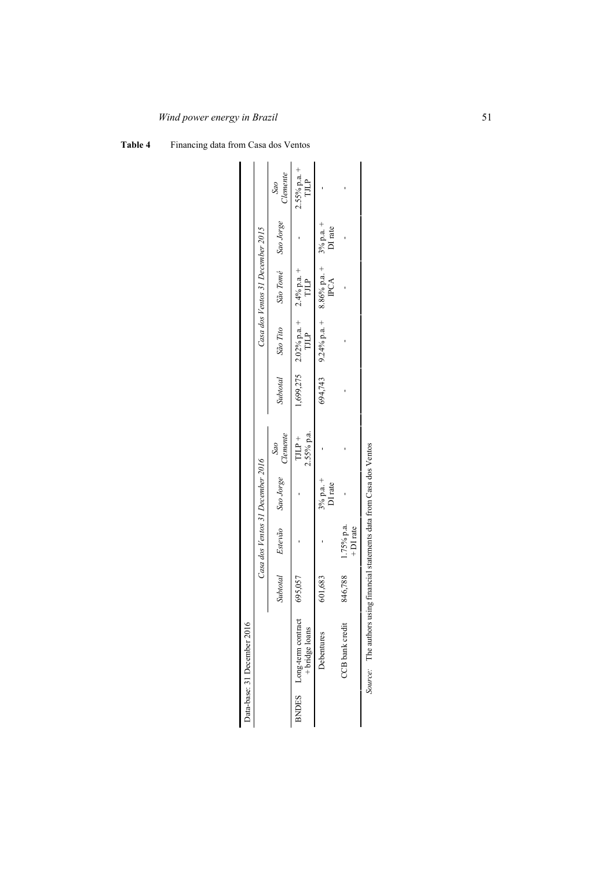| Data-base: 31 December 2016               |                 |                                  |                         |                      |                 |                                                        |                                  |                      |
|-------------------------------------------|-----------------|----------------------------------|-------------------------|----------------------|-----------------|--------------------------------------------------------|----------------------------------|----------------------|
|                                           |                 | Casa dos Ventos 31 December 2016 |                         |                      |                 |                                                        | Casa dos Ventos 31 December 2015 |                      |
|                                           | <b>Subtotal</b> |                                  | Estevão Sao Jorge       | Clemente<br>Sao      | <b>Subtotal</b> | São Tito                                               | São Tomé Sao Jorge               | Clemente<br>Sao      |
| BNDES $Long-term contract + bridge loans$ | 695,057         |                                  |                         | 2.55% p.a.<br>$TLP+$ |                 | 1,699,275 2.02% p.a. + 2.4% p.a. + TILP                |                                  | $2.55\%$ p.a. + TJLP |
| Debentures                                | 601,683         |                                  | $3\%$ p.a. +<br>DI rate |                      |                 | 694,743 9.24% p.a. + 8.86% p.a. + 3% p.a. + RCA DIrate |                                  |                      |
| CCB bank credit                           | 846,788         | $1.75%$ p.a.<br>+ DI rate        |                         |                      |                 |                                                        |                                  |                      |

**Table 4** Financing data from Casa dos Ventos

Source: The authors using financial statements data from Casa dos Ventos *Source:* The authors using financial statements data from Casa dos Ventos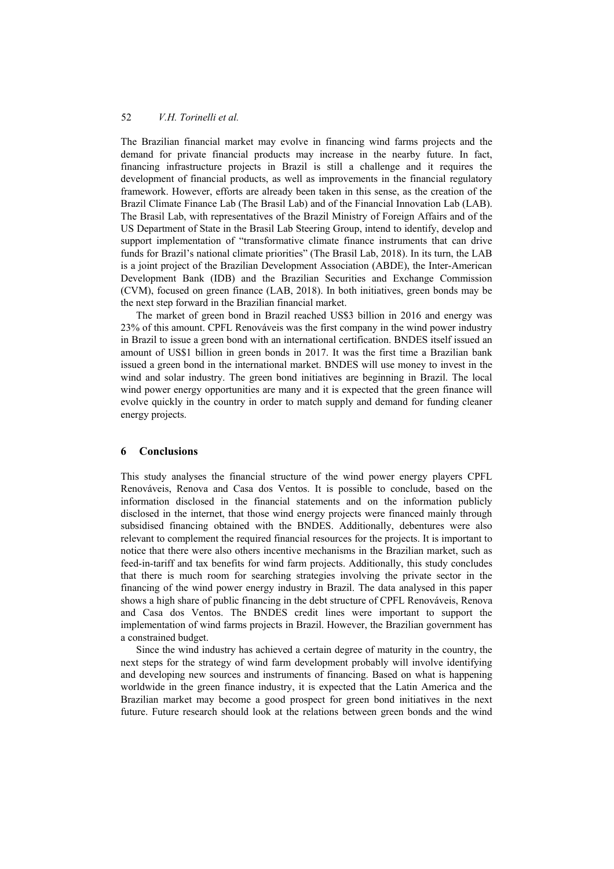The Brazilian financial market may evolve in financing wind farms projects and the demand for private financial products may increase in the nearby future. In fact, financing infrastructure projects in Brazil is still a challenge and it requires the development of financial products, as well as improvements in the financial regulatory framework. However, efforts are already been taken in this sense, as the creation of the Brazil Climate Finance Lab (The Brasil Lab) and of the Financial Innovation Lab (LAB). The Brasil Lab, with representatives of the Brazil Ministry of Foreign Affairs and of the US Department of State in the Brasil Lab Steering Group, intend to identify, develop and support implementation of "transformative climate finance instruments that can drive funds for Brazil's national climate priorities" (The Brasil Lab, 2018). In its turn, the LAB is a joint project of the Brazilian Development Association (ABDE), the Inter-American Development Bank (IDB) and the Brazilian Securities and Exchange Commission (CVM), focused on green finance (LAB, 2018). In both initiatives, green bonds may be the next step forward in the Brazilian financial market.

The market of green bond in Brazil reached US\$3 billion in 2016 and energy was 23% of this amount. CPFL Renováveis was the first company in the wind power industry in Brazil to issue a green bond with an international certification. BNDES itself issued an amount of US\$1 billion in green bonds in 2017. It was the first time a Brazilian bank issued a green bond in the international market. BNDES will use money to invest in the wind and solar industry. The green bond initiatives are beginning in Brazil. The local wind power energy opportunities are many and it is expected that the green finance will evolve quickly in the country in order to match supply and demand for funding cleaner energy projects.

#### **6 Conclusions**

This study analyses the financial structure of the wind power energy players CPFL Renováveis, Renova and Casa dos Ventos. It is possible to conclude, based on the information disclosed in the financial statements and on the information publicly disclosed in the internet, that those wind energy projects were financed mainly through subsidised financing obtained with the BNDES. Additionally, debentures were also relevant to complement the required financial resources for the projects. It is important to notice that there were also others incentive mechanisms in the Brazilian market, such as feed-in-tariff and tax benefits for wind farm projects. Additionally, this study concludes that there is much room for searching strategies involving the private sector in the financing of the wind power energy industry in Brazil. The data analysed in this paper shows a high share of public financing in the debt structure of CPFL Renováveis, Renova and Casa dos Ventos. The BNDES credit lines were important to support the implementation of wind farms projects in Brazil. However, the Brazilian government has a constrained budget.

Since the wind industry has achieved a certain degree of maturity in the country, the next steps for the strategy of wind farm development probably will involve identifying and developing new sources and instruments of financing. Based on what is happening worldwide in the green finance industry, it is expected that the Latin America and the Brazilian market may become a good prospect for green bond initiatives in the next future. Future research should look at the relations between green bonds and the wind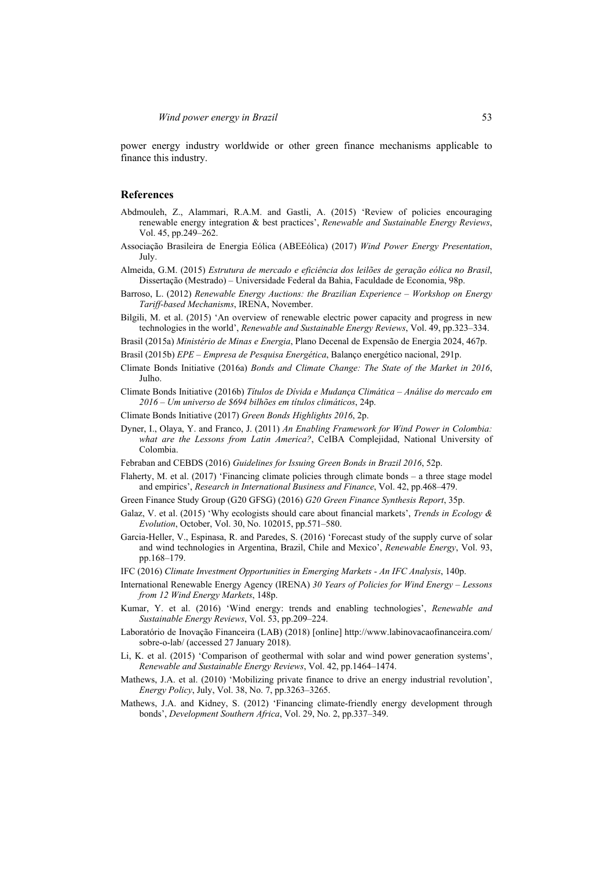power energy industry worldwide or other green finance mechanisms applicable to finance this industry.

### **References**

- Abdmouleh, Z., Alammari, R.A.M. and Gastli, A. (2015) 'Review of policies encouraging renewable energy integration & best practices', *Renewable and Sustainable Energy Reviews*, Vol. 45, pp.249–262.
- Associação Brasileira de Energia Eólica (ABEEólica) (2017) *Wind Power Energy Presentation*, July.
- Almeida, G.M. (2015) *Estrutura de mercado e eficiência dos leilões de geração eólica no Brasil*, Dissertação (Mestrado) – Universidade Federal da Bahia, Faculdade de Economia, 98p.
- Barroso, L. (2012) *Renewable Energy Auctions: the Brazilian Experience Workshop on Energy Tariff-based Mechanisms*, IRENA, November.
- Bilgili, M. et al. (2015) 'An overview of renewable electric power capacity and progress in new technologies in the world', *Renewable and Sustainable Energy Reviews*, Vol. 49, pp.323–334.
- Brasil (2015a) *Ministério de Minas e Energia*, Plano Decenal de Expensão de Energia 2024, 467p.
- Brasil (2015b) *EPE Empresa de Pesquisa Energética*, Balanço energético nacional, 291p.
- Climate Bonds Initiative (2016a) *Bonds and Climate Change: The State of the Market in 2016*, Julho.
- Climate Bonds Initiative (2016b) *Títulos de Dívida e Mudança Climática Análise do mercado em 2016 – Um universo de \$694 bilhões em títulos climáticos*, 24p.
- Climate Bonds Initiative (2017) *Green Bonds Highlights 2016*, 2p.
- Dyner, I., Olaya, Y. and Franco, J. (2011) *An Enabling Framework for Wind Power in Colombia: what are the Lessons from Latin America?*, CeIBA Complejidad, National University of Colombia.
- Febraban and CEBDS (2016) *Guidelines for Issuing Green Bonds in Brazil 2016*, 52p.
- Flaherty, M. et al. (2017) 'Financing climate policies through climate bonds a three stage model and empirics', *Research in International Business and Finance*, Vol. 42, pp.468–479.
- Green Finance Study Group (G20 GFSG) (2016) *G20 Green Finance Synthesis Report*, 35p.
- Galaz, V. et al. (2015) 'Why ecologists should care about financial markets', *Trends in Ecology & Evolution*, October, Vol. 30, No. 102015, pp.571–580.
- Garcia-Heller, V., Espinasa, R. and Paredes, S. (2016) 'Forecast study of the supply curve of solar and wind technologies in Argentina, Brazil, Chile and Mexico', *Renewable Energy*, Vol. 93, pp.168–179.
- IFC (2016) *Climate Investment Opportunities in Emerging Markets An IFC Analysis*, 140p.
- International Renewable Energy Agency (IRENA) *30 Years of Policies for Wind Energy Lessons from 12 Wind Energy Markets*, 148p.
- Kumar, Y. et al. (2016) 'Wind energy: trends and enabling technologies', *Renewable and Sustainable Energy Reviews*, Vol. 53, pp.209–224.
- Laboratório de Inovação Financeira (LAB) (2018) [online] http://www.labinovacaofinanceira.com/ sobre-o-lab/ (accessed 27 January 2018).
- Li, K. et al. (2015) 'Comparison of geothermal with solar and wind power generation systems', *Renewable and Sustainable Energy Reviews*, Vol. 42, pp.1464–1474.
- Mathews, J.A. et al. (2010) 'Mobilizing private finance to drive an energy industrial revolution', *Energy Policy*, July, Vol. 38, No. 7, pp.3263–3265.
- Mathews, J.A. and Kidney, S. (2012) 'Financing climate-friendly energy development through bonds', *Development Southern Africa*, Vol. 29, No. 2, pp.337–349.